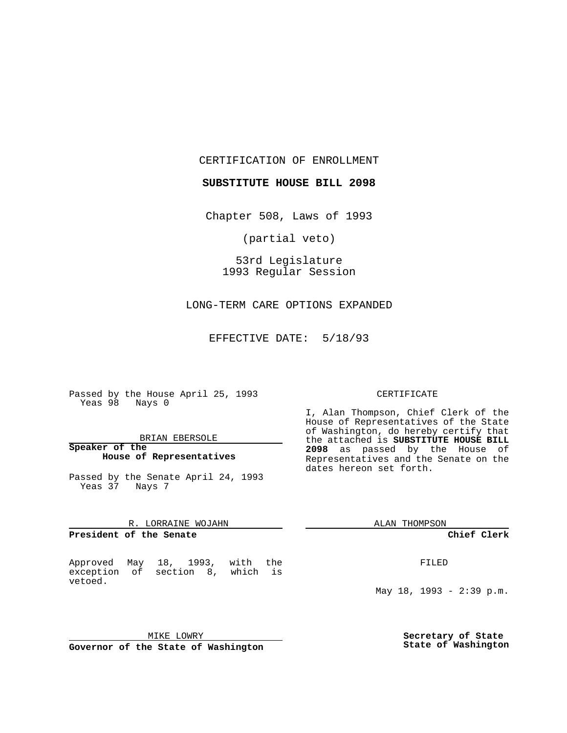CERTIFICATION OF ENROLLMENT

**SUBSTITUTE HOUSE BILL 2098**

Chapter 508, Laws of 1993

(partial veto)

53rd Legislature 1993 Regular Session

LONG-TERM CARE OPTIONS EXPANDED

EFFECTIVE DATE: 5/18/93

Passed by the House April 25, 1993 Yeas 98 Nays 0

### BRIAN EBERSOLE

**Speaker of the House of Representatives**

Passed by the Senate April 24, 1993 Yeas 37 Nays 7

#### R. LORRAINE WOJAHN

**President of the Senate**

Approved May 18, 1993, with the exception of section 8, which is vetoed.

MIKE LOWRY **Governor of the State of Washington**

### CERTIFICATE

I, Alan Thompson, Chief Clerk of the House of Representatives of the State of Washington, do hereby certify that the attached is **SUBSTITUTE HOUSE BILL 2098** as passed by the House of Representatives and the Senate on the dates hereon set forth.

ALAN THOMPSON

**Chief Clerk**

FILED

May 18, 1993 - 2:39 p.m.

**Secretary of State State of Washington**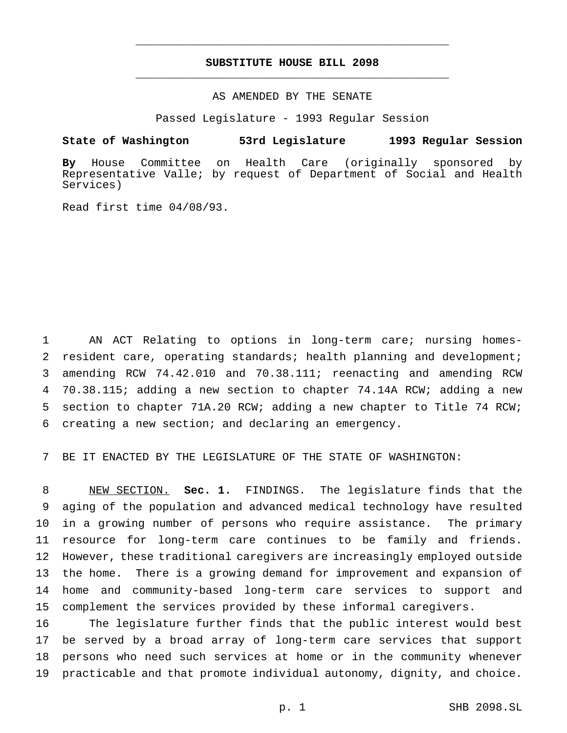# **SUBSTITUTE HOUSE BILL 2098** \_\_\_\_\_\_\_\_\_\_\_\_\_\_\_\_\_\_\_\_\_\_\_\_\_\_\_\_\_\_\_\_\_\_\_\_\_\_\_\_\_\_\_\_\_\_\_

\_\_\_\_\_\_\_\_\_\_\_\_\_\_\_\_\_\_\_\_\_\_\_\_\_\_\_\_\_\_\_\_\_\_\_\_\_\_\_\_\_\_\_\_\_\_\_

# AS AMENDED BY THE SENATE

Passed Legislature - 1993 Regular Session

### **State of Washington 53rd Legislature 1993 Regular Session**

**By** House Committee on Health Care (originally sponsored by Representative Valle; by request of Department of Social and Health Services)

Read first time 04/08/93.

 AN ACT Relating to options in long-term care; nursing homes- resident care, operating standards; health planning and development; amending RCW 74.42.010 and 70.38.111; reenacting and amending RCW 70.38.115; adding a new section to chapter 74.14A RCW; adding a new section to chapter 71A.20 RCW; adding a new chapter to Title 74 RCW; creating a new section; and declaring an emergency.

BE IT ENACTED BY THE LEGISLATURE OF THE STATE OF WASHINGTON:

 NEW SECTION. **Sec. 1.** FINDINGS. The legislature finds that the aging of the population and advanced medical technology have resulted in a growing number of persons who require assistance. The primary resource for long-term care continues to be family and friends. However, these traditional caregivers are increasingly employed outside the home. There is a growing demand for improvement and expansion of home and community-based long-term care services to support and complement the services provided by these informal caregivers.

 The legislature further finds that the public interest would best be served by a broad array of long-term care services that support persons who need such services at home or in the community whenever practicable and that promote individual autonomy, dignity, and choice.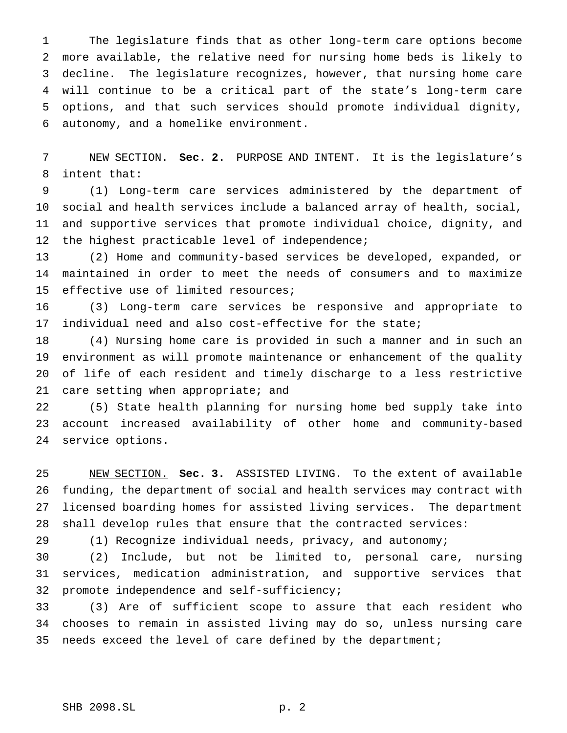The legislature finds that as other long-term care options become more available, the relative need for nursing home beds is likely to decline. The legislature recognizes, however, that nursing home care will continue to be a critical part of the state's long-term care options, and that such services should promote individual dignity, autonomy, and a homelike environment.

 NEW SECTION. **Sec. 2.** PURPOSE AND INTENT. It is the legislature's intent that:

 (1) Long-term care services administered by the department of social and health services include a balanced array of health, social, and supportive services that promote individual choice, dignity, and 12 the highest practicable level of independence;

 (2) Home and community-based services be developed, expanded, or maintained in order to meet the needs of consumers and to maximize effective use of limited resources;

 (3) Long-term care services be responsive and appropriate to individual need and also cost-effective for the state;

 (4) Nursing home care is provided in such a manner and in such an environment as will promote maintenance or enhancement of the quality of life of each resident and timely discharge to a less restrictive care setting when appropriate; and

 (5) State health planning for nursing home bed supply take into account increased availability of other home and community-based service options.

 NEW SECTION. **Sec. 3.** ASSISTED LIVING. To the extent of available funding, the department of social and health services may contract with licensed boarding homes for assisted living services. The department shall develop rules that ensure that the contracted services:

(1) Recognize individual needs, privacy, and autonomy;

 (2) Include, but not be limited to, personal care, nursing services, medication administration, and supportive services that promote independence and self-sufficiency;

 (3) Are of sufficient scope to assure that each resident who chooses to remain in assisted living may do so, unless nursing care 35 needs exceed the level of care defined by the department;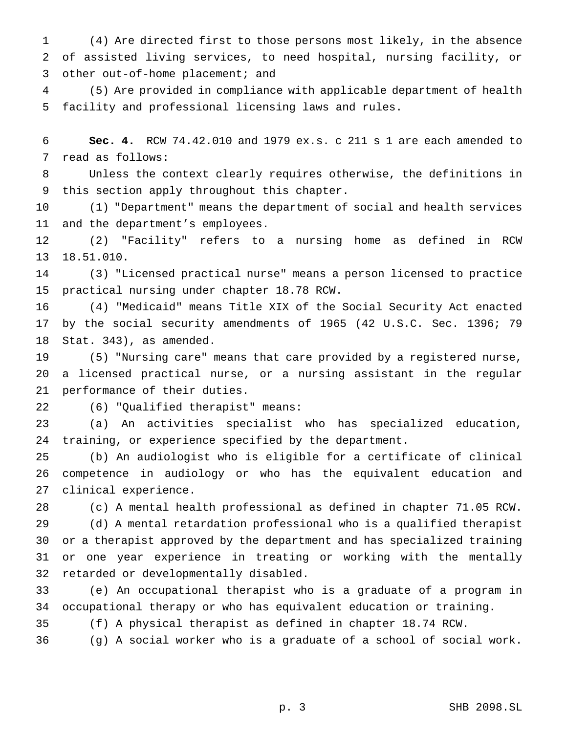(4) Are directed first to those persons most likely, in the absence of assisted living services, to need hospital, nursing facility, or other out-of-home placement; and

 (5) Are provided in compliance with applicable department of health facility and professional licensing laws and rules.

 **Sec. 4.** RCW 74.42.010 and 1979 ex.s. c 211 s 1 are each amended to read as follows:

 Unless the context clearly requires otherwise, the definitions in this section apply throughout this chapter.

 (1) "Department" means the department of social and health services and the department's employees.

 (2) "Facility" refers to a nursing home as defined in RCW 18.51.010.

 (3) "Licensed practical nurse" means a person licensed to practice practical nursing under chapter 18.78 RCW.

 (4) "Medicaid" means Title XIX of the Social Security Act enacted by the social security amendments of 1965 (42 U.S.C. Sec. 1396; 79 Stat. 343), as amended.

 (5) "Nursing care" means that care provided by a registered nurse, a licensed practical nurse, or a nursing assistant in the regular performance of their duties.

(6) "Qualified therapist" means:

 (a) An activities specialist who has specialized education, training, or experience specified by the department.

 (b) An audiologist who is eligible for a certificate of clinical competence in audiology or who has the equivalent education and clinical experience.

 (c) A mental health professional as defined in chapter 71.05 RCW. (d) A mental retardation professional who is a qualified therapist or a therapist approved by the department and has specialized training or one year experience in treating or working with the mentally retarded or developmentally disabled.

 (e) An occupational therapist who is a graduate of a program in occupational therapy or who has equivalent education or training.

(f) A physical therapist as defined in chapter 18.74 RCW.

(g) A social worker who is a graduate of a school of social work.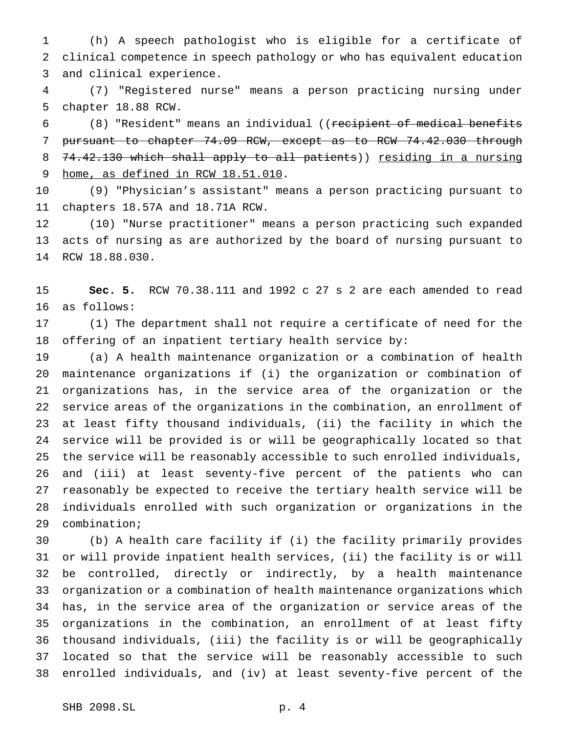(h) A speech pathologist who is eligible for a certificate of clinical competence in speech pathology or who has equivalent education and clinical experience.

 (7) "Registered nurse" means a person practicing nursing under chapter 18.88 RCW.

 (8) "Resident" means an individual ((recipient of medical benefits pursuant to chapter 74.09 RCW, except as to RCW 74.42.030 through 8 74.42.130 which shall apply to all patients)) residing in a nursing home, as defined in RCW 18.51.010.

 (9) "Physician's assistant" means a person practicing pursuant to chapters 18.57A and 18.71A RCW.

 (10) "Nurse practitioner" means a person practicing such expanded acts of nursing as are authorized by the board of nursing pursuant to RCW 18.88.030.

 **Sec. 5.** RCW 70.38.111 and 1992 c 27 s 2 are each amended to read as follows:

 (1) The department shall not require a certificate of need for the offering of an inpatient tertiary health service by:

 (a) A health maintenance organization or a combination of health maintenance organizations if (i) the organization or combination of organizations has, in the service area of the organization or the service areas of the organizations in the combination, an enrollment of at least fifty thousand individuals, (ii) the facility in which the service will be provided is or will be geographically located so that the service will be reasonably accessible to such enrolled individuals, and (iii) at least seventy-five percent of the patients who can reasonably be expected to receive the tertiary health service will be individuals enrolled with such organization or organizations in the combination;

 (b) A health care facility if (i) the facility primarily provides or will provide inpatient health services, (ii) the facility is or will be controlled, directly or indirectly, by a health maintenance organization or a combination of health maintenance organizations which has, in the service area of the organization or service areas of the organizations in the combination, an enrollment of at least fifty thousand individuals, (iii) the facility is or will be geographically located so that the service will be reasonably accessible to such enrolled individuals, and (iv) at least seventy-five percent of the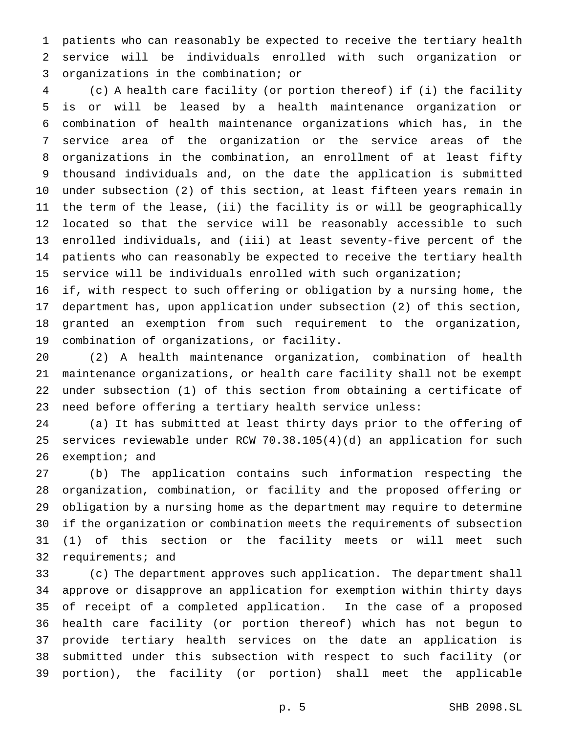patients who can reasonably be expected to receive the tertiary health service will be individuals enrolled with such organization or organizations in the combination; or

 (c) A health care facility (or portion thereof) if (i) the facility is or will be leased by a health maintenance organization or combination of health maintenance organizations which has, in the service area of the organization or the service areas of the organizations in the combination, an enrollment of at least fifty thousand individuals and, on the date the application is submitted under subsection (2) of this section, at least fifteen years remain in the term of the lease, (ii) the facility is or will be geographically located so that the service will be reasonably accessible to such enrolled individuals, and (iii) at least seventy-five percent of the patients who can reasonably be expected to receive the tertiary health service will be individuals enrolled with such organization;

 if, with respect to such offering or obligation by a nursing home, the department has, upon application under subsection (2) of this section, granted an exemption from such requirement to the organization, combination of organizations, or facility.

 (2) A health maintenance organization, combination of health maintenance organizations, or health care facility shall not be exempt under subsection (1) of this section from obtaining a certificate of need before offering a tertiary health service unless:

 (a) It has submitted at least thirty days prior to the offering of services reviewable under RCW 70.38.105(4)(d) an application for such exemption; and

 (b) The application contains such information respecting the organization, combination, or facility and the proposed offering or obligation by a nursing home as the department may require to determine if the organization or combination meets the requirements of subsection (1) of this section or the facility meets or will meet such requirements; and

 (c) The department approves such application. The department shall approve or disapprove an application for exemption within thirty days of receipt of a completed application. In the case of a proposed health care facility (or portion thereof) which has not begun to provide tertiary health services on the date an application is submitted under this subsection with respect to such facility (or portion), the facility (or portion) shall meet the applicable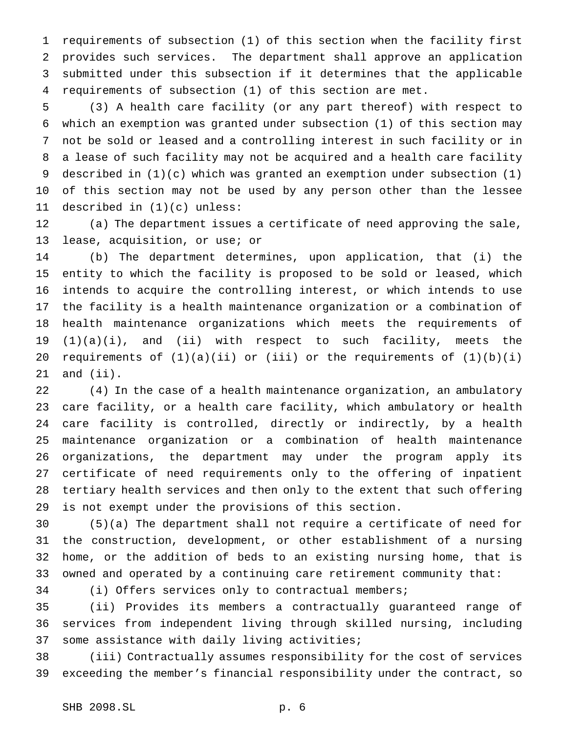requirements of subsection (1) of this section when the facility first provides such services. The department shall approve an application submitted under this subsection if it determines that the applicable requirements of subsection (1) of this section are met.

 (3) A health care facility (or any part thereof) with respect to which an exemption was granted under subsection (1) of this section may not be sold or leased and a controlling interest in such facility or in a lease of such facility may not be acquired and a health care facility described in (1)(c) which was granted an exemption under subsection (1) of this section may not be used by any person other than the lessee described in (1)(c) unless:

 (a) The department issues a certificate of need approving the sale, lease, acquisition, or use; or

 (b) The department determines, upon application, that (i) the entity to which the facility is proposed to be sold or leased, which intends to acquire the controlling interest, or which intends to use the facility is a health maintenance organization or a combination of health maintenance organizations which meets the requirements of (1)(a)(i), and (ii) with respect to such facility, meets the 20 requirements of  $(1)(a)(ii)$  or  $(iii)$  or the requirements of  $(1)(b)(i)$ and (ii).

 (4) In the case of a health maintenance organization, an ambulatory care facility, or a health care facility, which ambulatory or health care facility is controlled, directly or indirectly, by a health maintenance organization or a combination of health maintenance organizations, the department may under the program apply its certificate of need requirements only to the offering of inpatient tertiary health services and then only to the extent that such offering is not exempt under the provisions of this section.

 (5)(a) The department shall not require a certificate of need for the construction, development, or other establishment of a nursing home, or the addition of beds to an existing nursing home, that is owned and operated by a continuing care retirement community that:

(i) Offers services only to contractual members;

 (ii) Provides its members a contractually guaranteed range of services from independent living through skilled nursing, including some assistance with daily living activities;

 (iii) Contractually assumes responsibility for the cost of services exceeding the member's financial responsibility under the contract, so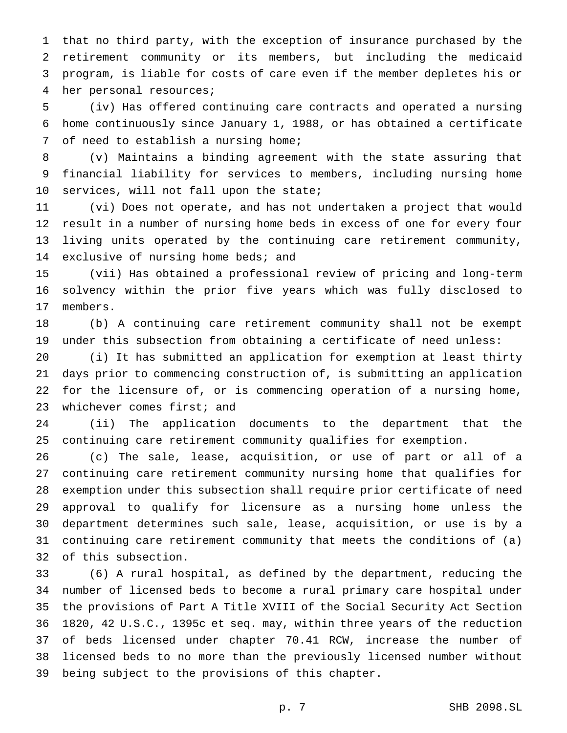that no third party, with the exception of insurance purchased by the retirement community or its members, but including the medicaid program, is liable for costs of care even if the member depletes his or her personal resources;

 (iv) Has offered continuing care contracts and operated a nursing home continuously since January 1, 1988, or has obtained a certificate of need to establish a nursing home;

 (v) Maintains a binding agreement with the state assuring that financial liability for services to members, including nursing home 10 services, will not fall upon the state;

 (vi) Does not operate, and has not undertaken a project that would result in a number of nursing home beds in excess of one for every four living units operated by the continuing care retirement community, 14 exclusive of nursing home beds; and

 (vii) Has obtained a professional review of pricing and long-term solvency within the prior five years which was fully disclosed to members.

 (b) A continuing care retirement community shall not be exempt under this subsection from obtaining a certificate of need unless:

 (i) It has submitted an application for exemption at least thirty days prior to commencing construction of, is submitting an application for the licensure of, or is commencing operation of a nursing home, whichever comes first; and

 (ii) The application documents to the department that the continuing care retirement community qualifies for exemption.

 (c) The sale, lease, acquisition, or use of part or all of a continuing care retirement community nursing home that qualifies for exemption under this subsection shall require prior certificate of need approval to qualify for licensure as a nursing home unless the department determines such sale, lease, acquisition, or use is by a continuing care retirement community that meets the conditions of (a) of this subsection.

 (6) A rural hospital, as defined by the department, reducing the number of licensed beds to become a rural primary care hospital under the provisions of Part A Title XVIII of the Social Security Act Section 1820, 42 U.S.C., 1395c et seq. may, within three years of the reduction of beds licensed under chapter 70.41 RCW, increase the number of licensed beds to no more than the previously licensed number without being subject to the provisions of this chapter.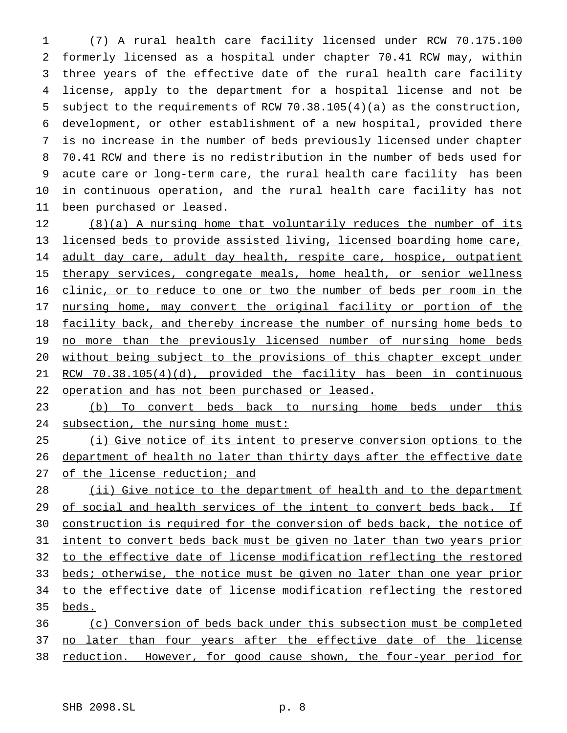(7) A rural health care facility licensed under RCW 70.175.100 formerly licensed as a hospital under chapter 70.41 RCW may, within three years of the effective date of the rural health care facility license, apply to the department for a hospital license and not be subject to the requirements of RCW 70.38.105(4)(a) as the construction, development, or other establishment of a new hospital, provided there is no increase in the number of beds previously licensed under chapter 70.41 RCW and there is no redistribution in the number of beds used for acute care or long-term care, the rural health care facility has been in continuous operation, and the rural health care facility has not been purchased or leased.

12 (8)(a) A nursing home that voluntarily reduces the number of its 13 licensed beds to provide assisted living, licensed boarding home care, 14 adult day care, adult day health, respite care, hospice, outpatient 15 therapy services, congregate meals, home health, or senior wellness 16 clinic, or to reduce to one or two the number of beds per room in the 17 nursing home, may convert the original facility or portion of the 18 facility back, and thereby increase the number of nursing home beds to 19 no more than the previously licensed number of nursing home beds 20 without being subject to the provisions of this chapter except under 21 RCW 70.38.105(4)(d), provided the facility has been in continuous 22 operation and has not been purchased or leased.

23 (b) To convert beds back to nursing home beds under this 24 subsection, the nursing home must:

25 (i) Give notice of its intent to preserve conversion options to the 26 department of health no later than thirty days after the effective date 27 of the license reduction; and

28 (ii) Give notice to the department of health and to the department 29 of social and health services of the intent to convert beds back. If 30 construction is required for the conversion of beds back, the notice of 31 intent to convert beds back must be given no later than two years prior 32 to the effective date of license modification reflecting the restored 33 beds; otherwise, the notice must be given no later than one year prior 34 to the effective date of license modification reflecting the restored 35 beds. 36 (c) Conversion of beds back under this subsection must be completed

37 no later than four years after the effective date of the license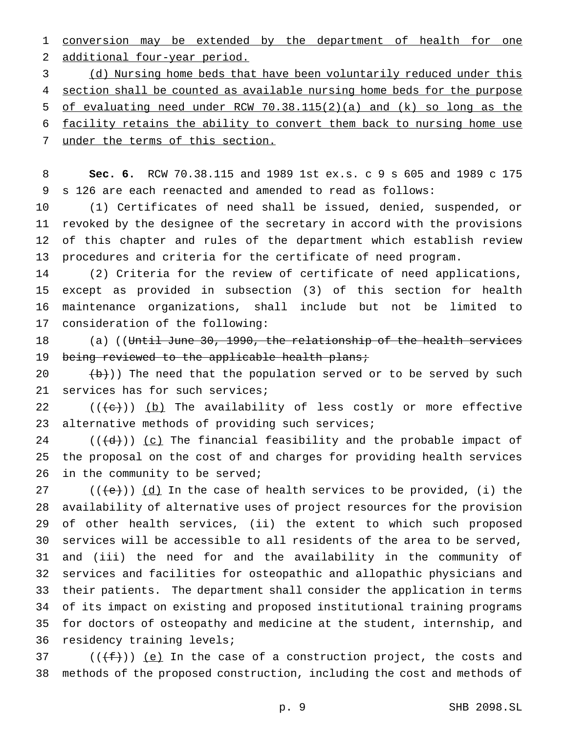conversion may be extended by the department of health for one additional four-year period.

 (d) Nursing home beds that have been voluntarily reduced under this 4 section shall be counted as available nursing home beds for the purpose of evaluating need under RCW 70.38.115(2)(a) and (k) so long as the facility retains the ability to convert them back to nursing home use 7 under the terms of this section.

 **Sec. 6.** RCW 70.38.115 and 1989 1st ex.s. c 9 s 605 and 1989 c 175 s 126 are each reenacted and amended to read as follows:

 (1) Certificates of need shall be issued, denied, suspended, or revoked by the designee of the secretary in accord with the provisions of this chapter and rules of the department which establish review procedures and criteria for the certificate of need program.

 (2) Criteria for the review of certificate of need applications, except as provided in subsection (3) of this section for health maintenance organizations, shall include but not be limited to consideration of the following:

18 (a) ((Until June 30, 1990, the relationship of the health services 19 being reviewed to the applicable health plans;

 $(\frac{b}{b})$ ) The need that the population served or to be served by such 21 services has for such services;

22  $((+e))$  (b) The availability of less costly or more effective 23 alternative methods of providing such services;

24 ( $(\{d\})$ ) <u>(c)</u> The financial feasibility and the probable impact of the proposal on the cost of and charges for providing health services 26 in the community to be served;

27 ( $((e))$   $(d)$  In the case of health services to be provided, (i) the availability of alternative uses of project resources for the provision of other health services, (ii) the extent to which such proposed services will be accessible to all residents of the area to be served, and (iii) the need for and the availability in the community of services and facilities for osteopathic and allopathic physicians and their patients. The department shall consider the application in terms of its impact on existing and proposed institutional training programs for doctors of osteopathy and medicine at the student, internship, and residency training levels;

37 ( $(\{\pm\})$ ) <u>(e)</u> In the case of a construction project, the costs and methods of the proposed construction, including the cost and methods of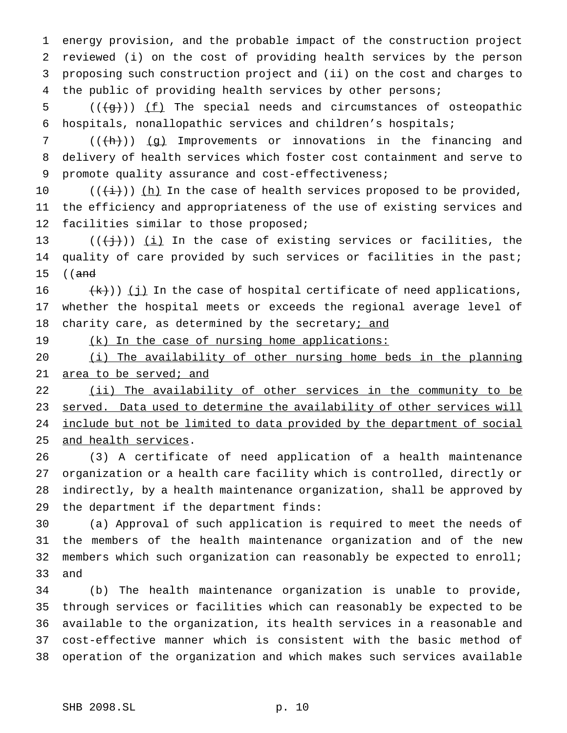energy provision, and the probable impact of the construction project reviewed (i) on the cost of providing health services by the person proposing such construction project and (ii) on the cost and charges to the public of providing health services by other persons;

5  $((\{g\}) \mid \underline{f})$  The special needs and circumstances of osteopathic hospitals, nonallopathic services and children's hospitals;

7 ( $(\overline{h})$ ) (g) Improvements or innovations in the financing and delivery of health services which foster cost containment and serve to promote quality assurance and cost-effectiveness;

 $((\overleftrightarrow{t}))$  (h) In the case of health services proposed to be provided, the efficiency and appropriateness of the use of existing services and 12 facilities similar to those proposed;

13 ( $(\overrightarrow{})$ ) (i) In the case of existing services or facilities, the quality of care provided by such services or facilities in the past; ((and

16  $(k)$ )) (j) In the case of hospital certificate of need applications, whether the hospital meets or exceeds the regional average level of 18 charity care, as determined by the secretary; and

19 (k) In the case of nursing home applications:

 (i) The availability of other nursing home beds in the planning 21 area to be served; and

22 (ii) The availability of other services in the community to be 23 served. Data used to determine the availability of other services will include but not be limited to data provided by the department of social and health services.

 (3) A certificate of need application of a health maintenance organization or a health care facility which is controlled, directly or indirectly, by a health maintenance organization, shall be approved by the department if the department finds:

 (a) Approval of such application is required to meet the needs of the members of the health maintenance organization and of the new members which such organization can reasonably be expected to enroll; and

 (b) The health maintenance organization is unable to provide, through services or facilities which can reasonably be expected to be available to the organization, its health services in a reasonable and cost-effective manner which is consistent with the basic method of operation of the organization and which makes such services available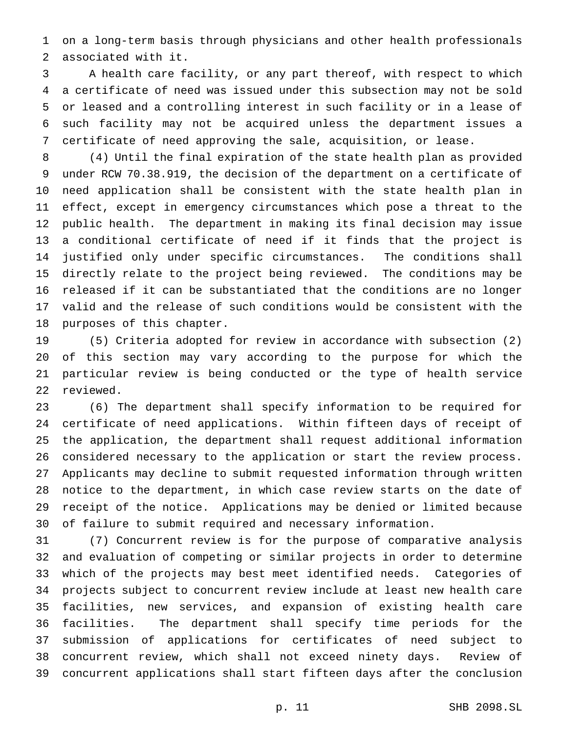on a long-term basis through physicians and other health professionals associated with it.

 A health care facility, or any part thereof, with respect to which a certificate of need was issued under this subsection may not be sold or leased and a controlling interest in such facility or in a lease of such facility may not be acquired unless the department issues a certificate of need approving the sale, acquisition, or lease.

 (4) Until the final expiration of the state health plan as provided under RCW 70.38.919, the decision of the department on a certificate of need application shall be consistent with the state health plan in effect, except in emergency circumstances which pose a threat to the public health. The department in making its final decision may issue a conditional certificate of need if it finds that the project is justified only under specific circumstances. The conditions shall directly relate to the project being reviewed. The conditions may be released if it can be substantiated that the conditions are no longer valid and the release of such conditions would be consistent with the purposes of this chapter.

 (5) Criteria adopted for review in accordance with subsection (2) of this section may vary according to the purpose for which the particular review is being conducted or the type of health service reviewed.

 (6) The department shall specify information to be required for certificate of need applications. Within fifteen days of receipt of the application, the department shall request additional information considered necessary to the application or start the review process. Applicants may decline to submit requested information through written notice to the department, in which case review starts on the date of receipt of the notice. Applications may be denied or limited because of failure to submit required and necessary information.

 (7) Concurrent review is for the purpose of comparative analysis and evaluation of competing or similar projects in order to determine which of the projects may best meet identified needs. Categories of projects subject to concurrent review include at least new health care facilities, new services, and expansion of existing health care facilities. The department shall specify time periods for the submission of applications for certificates of need subject to concurrent review, which shall not exceed ninety days. Review of concurrent applications shall start fifteen days after the conclusion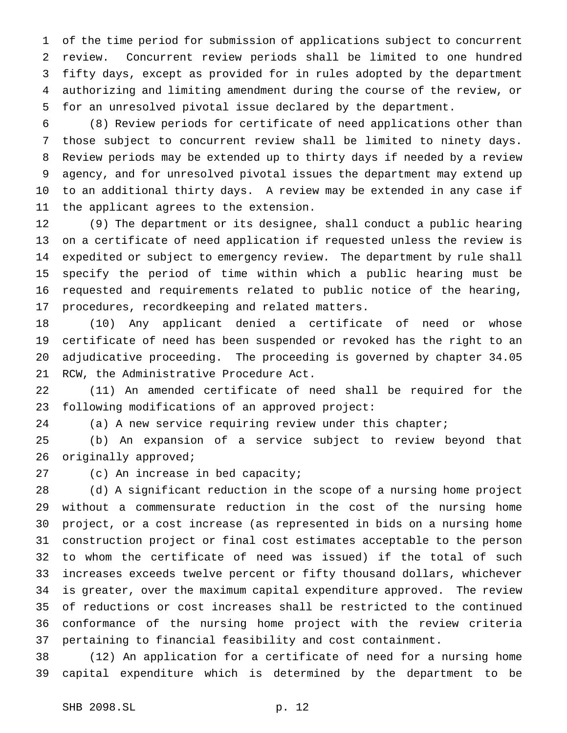of the time period for submission of applications subject to concurrent review. Concurrent review periods shall be limited to one hundred fifty days, except as provided for in rules adopted by the department authorizing and limiting amendment during the course of the review, or for an unresolved pivotal issue declared by the department.

 (8) Review periods for certificate of need applications other than those subject to concurrent review shall be limited to ninety days. Review periods may be extended up to thirty days if needed by a review agency, and for unresolved pivotal issues the department may extend up to an additional thirty days. A review may be extended in any case if the applicant agrees to the extension.

 (9) The department or its designee, shall conduct a public hearing on a certificate of need application if requested unless the review is expedited or subject to emergency review. The department by rule shall specify the period of time within which a public hearing must be requested and requirements related to public notice of the hearing, procedures, recordkeeping and related matters.

 (10) Any applicant denied a certificate of need or whose certificate of need has been suspended or revoked has the right to an adjudicative proceeding. The proceeding is governed by chapter 34.05 RCW, the Administrative Procedure Act.

 (11) An amended certificate of need shall be required for the following modifications of an approved project:

(a) A new service requiring review under this chapter;

 (b) An expansion of a service subject to review beyond that 26 originally approved;

(c) An increase in bed capacity;

 (d) A significant reduction in the scope of a nursing home project without a commensurate reduction in the cost of the nursing home project, or a cost increase (as represented in bids on a nursing home construction project or final cost estimates acceptable to the person to whom the certificate of need was issued) if the total of such increases exceeds twelve percent or fifty thousand dollars, whichever is greater, over the maximum capital expenditure approved. The review of reductions or cost increases shall be restricted to the continued conformance of the nursing home project with the review criteria pertaining to financial feasibility and cost containment.

 (12) An application for a certificate of need for a nursing home capital expenditure which is determined by the department to be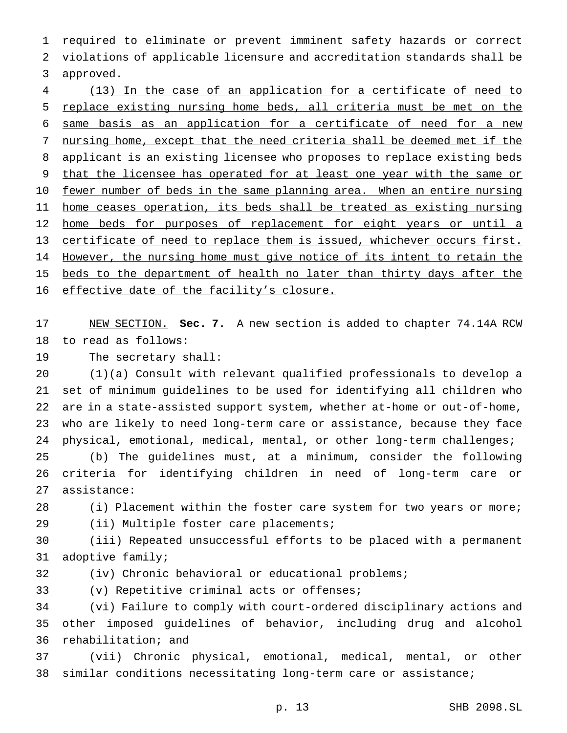required to eliminate or prevent imminent safety hazards or correct violations of applicable licensure and accreditation standards shall be approved.

 (13) In the case of an application for a certificate of need to replace existing nursing home beds, all criteria must be met on the same basis as an application for a certificate of need for a new nursing home, except that the need criteria shall be deemed met if the applicant is an existing licensee who proposes to replace existing beds 9 that the licensee has operated for at least one year with the same or 10 fewer number of beds in the same planning area. When an entire nursing home ceases operation, its beds shall be treated as existing nursing 12 home beds for purposes of replacement for eight years or until a certificate of need to replace them is issued, whichever occurs first. However, the nursing home must give notice of its intent to retain the 15 beds to the department of health no later than thirty days after the 16 effective date of the facility's closure.

 NEW SECTION. **Sec. 7.** A new section is added to chapter 74.14A RCW to read as follows:

The secretary shall:

 (1)(a) Consult with relevant qualified professionals to develop a set of minimum guidelines to be used for identifying all children who are in a state-assisted support system, whether at-home or out-of-home, who are likely to need long-term care or assistance, because they face 24 physical, emotional, medical, mental, or other long-term challenges;

 (b) The guidelines must, at a minimum, consider the following criteria for identifying children in need of long-term care or assistance:

28 (i) Placement within the foster care system for two years or more; (ii) Multiple foster care placements;

 (iii) Repeated unsuccessful efforts to be placed with a permanent adoptive family;

(iv) Chronic behavioral or educational problems;

(v) Repetitive criminal acts or offenses;

 (vi) Failure to comply with court-ordered disciplinary actions and other imposed guidelines of behavior, including drug and alcohol rehabilitation; and

 (vii) Chronic physical, emotional, medical, mental, or other similar conditions necessitating long-term care or assistance;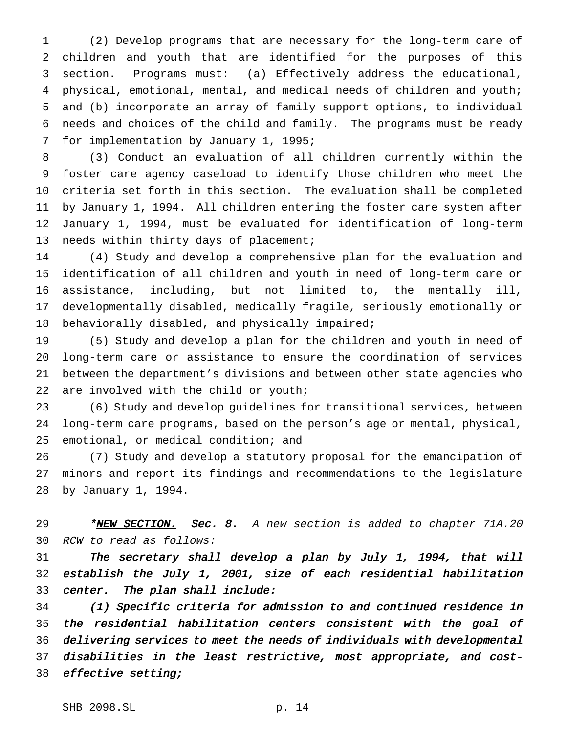(2) Develop programs that are necessary for the long-term care of children and youth that are identified for the purposes of this section. Programs must: (a) Effectively address the educational, physical, emotional, mental, and medical needs of children and youth; and (b) incorporate an array of family support options, to individual needs and choices of the child and family. The programs must be ready for implementation by January 1, 1995;

 (3) Conduct an evaluation of all children currently within the foster care agency caseload to identify those children who meet the criteria set forth in this section. The evaluation shall be completed by January 1, 1994. All children entering the foster care system after January 1, 1994, must be evaluated for identification of long-term needs within thirty days of placement;

 (4) Study and develop a comprehensive plan for the evaluation and identification of all children and youth in need of long-term care or assistance, including, but not limited to, the mentally ill, developmentally disabled, medically fragile, seriously emotionally or behaviorally disabled, and physically impaired;

 (5) Study and develop a plan for the children and youth in need of long-term care or assistance to ensure the coordination of services between the department's divisions and between other state agencies who are involved with the child or youth;

 (6) Study and develop guidelines for transitional services, between long-term care programs, based on the person's age or mental, physical, emotional, or medical condition; and

 (7) Study and develop a statutory proposal for the emancipation of minors and report its findings and recommendations to the legislature by January 1, 1994.

29 \*NEW SECTION. Sec. 8. A new section is added to chapter 71A.20 RCW to read as follows:

 The secretary shall develop <sup>a</sup> plan by July 1, 1994, that will establish the July 1, 2001, size of each residential habilitation center. The plan shall include:

 (1) Specific criteria for admission to and continued residence in the residential habilitation centers consistent with the goal of delivering services to meet the needs of individuals with developmental disabilities in the least restrictive, most appropriate, and cost-effective setting;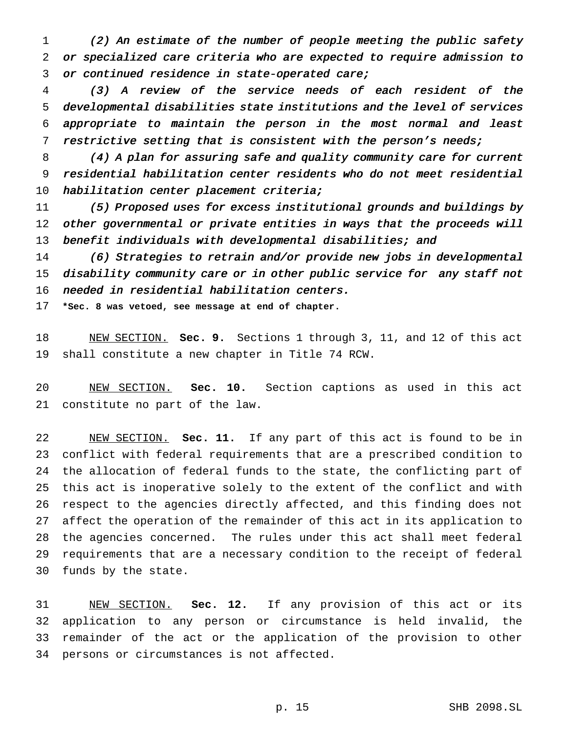(2) An estimate of the number of people meeting the public safety or specialized care criteria who are expected to require admission to or continued residence in state-operated care;

 (3) <sup>A</sup> review of the service needs of each resident of the developmental disabilities state institutions and the level of services appropriate to maintain the person in the most normal and least restrictive setting that is consistent with the person's needs;

 (4) <sup>A</sup> plan for assuring safe and quality community care for current residential habilitation center residents who do not meet residential 10 habilitation center placement criteria;

 (5) Proposed uses for excess institutional grounds and buildings by other governmental or private entities in ways that the proceeds will 13 benefit individuals with developmental disabilities; and

 (6) Strategies to retrain and/or provide new jobs in developmental disability community care or in other public service for any staff not needed in residential habilitation centers.

**\*Sec. 8 was vetoed, see message at end of chapter.**

 NEW SECTION. **Sec. 9.** Sections 1 through 3, 11, and 12 of this act shall constitute a new chapter in Title 74 RCW.

 NEW SECTION. **Sec. 10.** Section captions as used in this act constitute no part of the law.

 NEW SECTION. **Sec. 11.** If any part of this act is found to be in conflict with federal requirements that are a prescribed condition to the allocation of federal funds to the state, the conflicting part of this act is inoperative solely to the extent of the conflict and with respect to the agencies directly affected, and this finding does not affect the operation of the remainder of this act in its application to the agencies concerned. The rules under this act shall meet federal requirements that are a necessary condition to the receipt of federal funds by the state.

 NEW SECTION. **Sec. 12.** If any provision of this act or its application to any person or circumstance is held invalid, the remainder of the act or the application of the provision to other persons or circumstances is not affected.